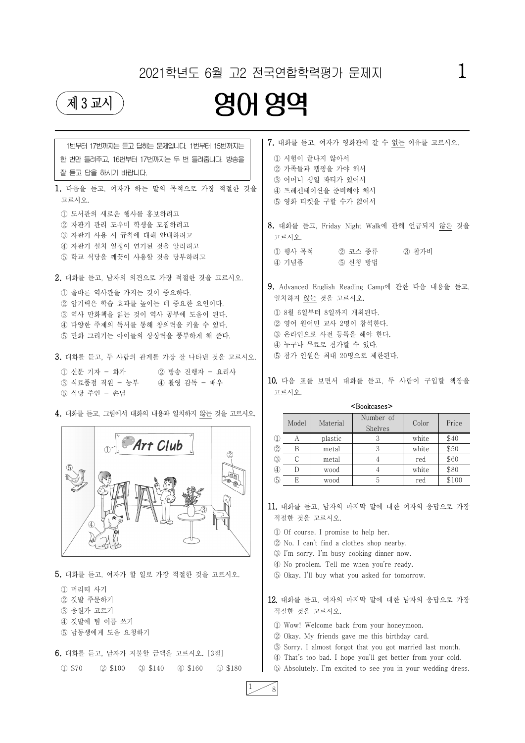## 2021학년도 6월 고2 전국연합학력평가 문제지  $\qquad \qquad 1$



# 제 3교시 영어 영역



5. 대화를 듣고, 여자가 할 일로 가장 적절한 것을 고르시오. ① 머리띠 사기 ② 깃발 주문하기 ③ 응원가 고르기 ④ 깃발에 팀 이름 쓰기 ⑤ 남동생에게 도움 요청하기 6. 대화를 듣고, 남자가 지불할 금액을 고르시오. [3점] ① \$70 ② \$100 ③ \$140 ④ \$160 ⑤ \$180

| 1번부터 17번까지는 듣고 답하는 문제입니다. 1번부터 15번까지는<br>한 번만 들려주고, 16번부터 17번까지는 두 번 들려줍니다. 방송을<br>잘 듣고 답을 하시기 바랍니다.                                                                                                                                                                                                                                                             | 7. 대화를 듣고, 여자가 영화관에 갈 수 없는 이유를 고르시오.<br>1 시험이 끝나지 않아서<br>2 가족들과 캠핑을 가야 해서<br>3 어머니 생일 파티가 있어서                             |                                             |                                                                                                                                      |       |       |
|------------------------------------------------------------------------------------------------------------------------------------------------------------------------------------------------------------------------------------------------------------------------------------------------------------------------------------------------------------------|---------------------------------------------------------------------------------------------------------------------------|---------------------------------------------|--------------------------------------------------------------------------------------------------------------------------------------|-------|-------|
| 1. 다음을 듣고, 여자가 하는 말의 목적으로 가장 적절한 것을<br>고르시오.                                                                                                                                                                                                                                                                                                                     |                                                                                                                           | 4 프레젠테이션을 준비해야 해서<br>5 영화 티켓을 구할 수가 없어서     |                                                                                                                                      |       |       |
| 1 도서관의 새로운 행사를 홍보하려고<br>2 자판기 관리 도우미 학생을 모집하려고<br>3 자판기 사용 시 규칙에 대해 안내하려고<br>4) 자판기 설치 일정이 연기된 것을 알리려고<br>5 학교 식당을 깨끗이 사용할 것을 당부하려고                                                                                                                                                                                                                              | 고르시오.<br>1 행사 목적<br>④ 기념품                                                                                                 |                                             | 8. 대화를 듣고, Friday Night Walk에 관해 언급되지 않은 것을<br>② 코스 종류<br>5 신청 방법                                                                    | 3 참가비 |       |
| 2. 대화를 듣고, 남자의 의견으로 가장 적절한 것을 고르시오.<br>1 올바른 역사관을 가지는 것이 중요하다.                                                                                                                                                                                                                                                                                                   |                                                                                                                           | 일치하지 않는 것을 고르시오.                            | 9. Advanced English Reading Camp에 관한 다음 내용을 듣고,                                                                                      |       |       |
| ② 암기력은 학습 효과를 높이는 데 중요한 요인이다.<br>3 역사 만화책을 읽는 것이 역사 공부에 도움이 된다.<br>4 다양한 주제의 독서를 통해 창의력을 키울 수 있다.<br>5 만화 그리기는 아이들의 상상력을 풍부하게 해 준다.<br>3. 대화를 듣고, 두 사람의 관계를 가장 잘 나타낸 것을 고르시오.                                                                                                                                                                                    | 1 8월 6일부터 8일까지 개최된다.<br>② 영어 원어민 교사 2명이 참석한다.<br>3 온라인으로 사전 등록을 해야 한다.<br>4) 누구나 무료로 참가할 수 있다.<br>5 참가 인원은 최대 20명으로 제한된다. |                                             |                                                                                                                                      |       |       |
|                                                                                                                                                                                                                                                                                                                                                                  |                                                                                                                           |                                             |                                                                                                                                      |       |       |
| ① 신문 기자 - 화가<br>② 방송 진행자 - 요리사<br>④ 촬영 감독 - 배우<br>③ 식료품점 직원 - 농부<br>5 식당 주인 - 손님                                                                                                                                                                                                                                                                                 | 고르시오.                                                                                                                     |                                             | 10. 다음 표를 보면서 대화를 듣고, 두 사람이 구입할 책장을                                                                                                  |       |       |
|                                                                                                                                                                                                                                                                                                                                                                  |                                                                                                                           |                                             | <bookcases></bookcases>                                                                                                              |       |       |
|                                                                                                                                                                                                                                                                                                                                                                  | Model                                                                                                                     | Material                                    | Number of<br>Shelves                                                                                                                 | Color | Price |
|                                                                                                                                                                                                                                                                                                                                                                  | $\mathbb{O}$<br>A                                                                                                         | plastic                                     |                                                                                                                                      | white | \$40  |
| Art Club                                                                                                                                                                                                                                                                                                                                                         | $\circled{2}$<br>B                                                                                                        | metal                                       | 3                                                                                                                                    | white | \$50  |
|                                                                                                                                                                                                                                                                                                                                                                  | (3)<br>$\mathcal{C}$                                                                                                      | metal                                       | $\overline{4}$                                                                                                                       | red   | \$60  |
| (5)                                                                                                                                                                                                                                                                                                                                                              | $\circled{4}$<br>$\mathbf D$                                                                                              | wood                                        | 4                                                                                                                                    | white | \$80  |
| IOD<br>$\begin{picture}(180,170) \put(0,0){\line(1,0){10}} \put(10,0){\line(1,0){10}} \put(10,0){\line(1,0){10}} \put(10,0){\line(1,0){10}} \put(10,0){\line(1,0){10}} \put(10,0){\line(1,0){10}} \put(10,0){\line(1,0){10}} \put(10,0){\line(1,0){10}} \put(10,0){\line(1,0){10}} \put(10,0){\line(1,0){10}} \put(10,0){\line(1,0){10}} \put(10,0){\line$<br>Ð. | $\circled{5}$<br>E<br>적절한 것을 고르시오.                                                                                        | wood<br>1 Of course. I promise to help her. | 5<br>11. 대화를 듣고, 남자의 마지막 말에 대한 여자의 응답으로 가장<br>2 No. I can't find a clothes shop nearby.<br>3 I'm sorry. I'm busy cooking dinner now. | red   | \$100 |
| 4. 대화를 듣고, 그림에서 대화의 내용과 일치하지 않는 것을 고르시오.                                                                                                                                                                                                                                                                                                                         |                                                                                                                           |                                             |                                                                                                                                      |       |       |

⑤ Okay. I'll buy what you asked for tomorrow.

12. 대화를 듣고, 여자의 마지막 말에 대한 남자의 응답으로 가장 적절한 것을 고르시오.

① Wow! Welcome back from your honeymoon. ② Okay. My friends gave me this birthday card. ③ Sorry. I almost forgot that you got married last month. ④ That's too bad. I hope you'll get better from your cold. ⑤ Absolutely. I'm excited to see you in your wedding dress.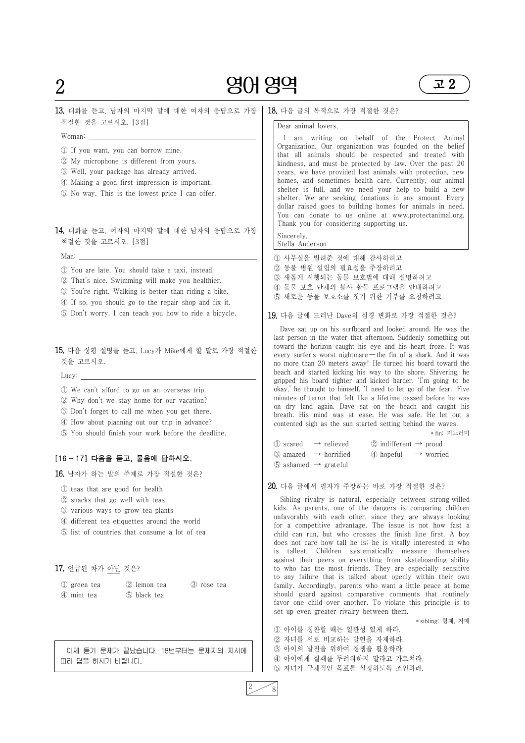# $2 \qquad 90 \, 89$

고 2

#### ━━━━━━━━━━━━━━━━━━━━━━━━━━━━━━━━━━━━━━━━━━━━━━━━━━━━━━━━━━━━━━━ 13. 대화를 듣고, 남자의 마지막 말에 대한 여자의 응답으로 가장 적절한 것을 고르시오. [3점]



- Woman: ① If you want, you can borrow mine.
- ② My microphone is different from yours.
- ③ Well, your package has already arrived.
- ④ Making a good first impression is important.
- ⑤ No way. This is the lowest price I can offer.

#### 14. 대화를 듣고, 여자의 마지막 말에 대한 남자의 응답으로 가장 적절한 것을 고르시오. [3점]

- Man: ① You are late. You should take a taxi, instead.
- ② That's nice. Swimming will make you healthier.
- ③ You're right. Walking is better than riding a bike.
- ④ If so, you should go to the repair shop and fix it.
- ⑤ Don't worry. I can teach you how to ride a bicycle.

#### 15. 다음 상황 설명을 듣고, Lucy가 Mike에게 할 말로 가장 적절한 것을 고르시오.

- Lucy: ① We can't afford to go on an overseas trip.
- ② Why don't we stay home for our vacation?
- ③ Don't forget to call me when you get there.
- ④ How about planning out our trip in advance?
- ⑤ You should finish your work before the deadline.

#### [16 ~ 17] 다음을 듣고, 물음에 답하시오.

Sincerely, Stella Anderson

16. 남자가 하는 말의 주제로 가장 적절한 것은?

- ① teas that are good for health
- ② snacks that go well with teas
- ③ various ways to grow tea plants
- ④ different tea etiquettes around the world
- ⑤ list of countries that consume a lot of tea

### 18. 다음 글의 목적으로 가장 적절한 것은?

#### Dear animal lovers,

I am writing on behalf of the Protect Animal Organization. Our organization was founded on the belief that all animals should be respected and treated with kindness, and must be protected by law. Over the past 20 years, we have provided lost animals with protection, new homes, and sometimes health care. Currently, our animal shelter is full, and we need your help to build a new shelter. We are seeking donations in any amount. Every dollar raised goes to building homes for animals in need. You can donate to us online at www.protectanimal.org. Thank you for considering supporting us.

- ① 사무실을 빌려준 것에 대해 감사하려고
- ② 동물 병원 설립의 필요성을 주장하려고
- ③ 새롭게 시행되는 동물 보호법에 대해 설명하려고
- ④ 동물 보호 단체의 봉사 활동 프로그램을 안내하려고
- ⑤ 새로운 동물 보호소를 짓기 위한 기부를 요청하려고

#### 19. 다음 글에 드러난 Dave의 심경 변화로 가장 적절한 것은?

| 17. 언급된 차가 아닌 것은?          |                            |                                  | against their peers on everything from skateboarding ability<br>to who has the most friends. They are especially sensitive                                                                                                                                                                                                 |
|----------------------------|----------------------------|----------------------------------|----------------------------------------------------------------------------------------------------------------------------------------------------------------------------------------------------------------------------------------------------------------------------------------------------------------------------|
| 1) green tea<br>4 mint tea | 2 lemon tea<br>5 black tea | 3 rose tea                       | to any failure that is talked about openly within their own<br>family. Accordingly, parents who want a little peace at home<br>should guard against comparative comments that routinely<br>favor one child over another. To violate this principle is to<br>set up even greater rivalry between them.<br>* sibling: 형제, 자매 |
|                            |                            |                                  | 1 아이를 칭찬할 때는 일관성 있게 하라.<br>2 자녀를 서로 비교하는 발언을 자제하라.                                                                                                                                                                                                                                                                         |
| 따라 답을 하시기 바랍니다.            |                            | 이제 듣기 문제가 끝났습니다. 18번부터는 문제지의 지시에 | 3 아이의 발전을 위하여 경쟁을 활용하라.<br>4 아이에게 실패를 두려워하지 말라고 가르쳐라.<br>5 자녀가 구체적인 목표를 설정하도록 조언하라.                                                                                                                                                                                                                                        |

Dave sat up on his surfboard and looked around. He was the last person in the water that afternoon. Suddenly something out toward the horizon caught his eye and his heart froze. It was every surfer's worst nightmare — the fin of a shark. And it was no more than 20 meters away! He turned his board toward the beach and started kicking his way to the shore. Shivering, he gripped his board tighter and kicked harder. 'I'm going to be okay,' he thought to himself. 'I need to let go of the fear.' Five minutes of terror that felt like a lifetime passed before he was on dry land again. Dave sat on the beach and caught his breath. His mind was at ease. He was safe. He let out a contented sigh as the sun started setting behind the waves.

\* fin: 지느러미

|                                              | $\textcircled{1}$ scared $\rightarrow$ relieved  | 2 indifferent $\rightarrow$ proud                         |  |
|----------------------------------------------|--------------------------------------------------|-----------------------------------------------------------|--|
|                                              | $\textcircled{3}$ amazed $\rightarrow$ horrified | $\qquad$ $\qquad$ $\qquad$ $\qquad$ $\rightarrow$ worried |  |
| $\circled{5}$ ashamed $\rightarrow$ grateful |                                                  |                                                           |  |

#### 20. 다음 글에서 필자가 주장하는 바로 가장 적절한 것은?

Sibling rivalry is natural, especially between strong-willed kids. As parents, one of the dangers is comparing children unfavorably with each other, since they are always looking for a competitive advantage. The issue is not how fast a child can run, but who crosses the finish line first. A boy does not care how tall he is; he is vitally interested in who is tallest. Children systematically measure themselves peers on everything from skateboarding ability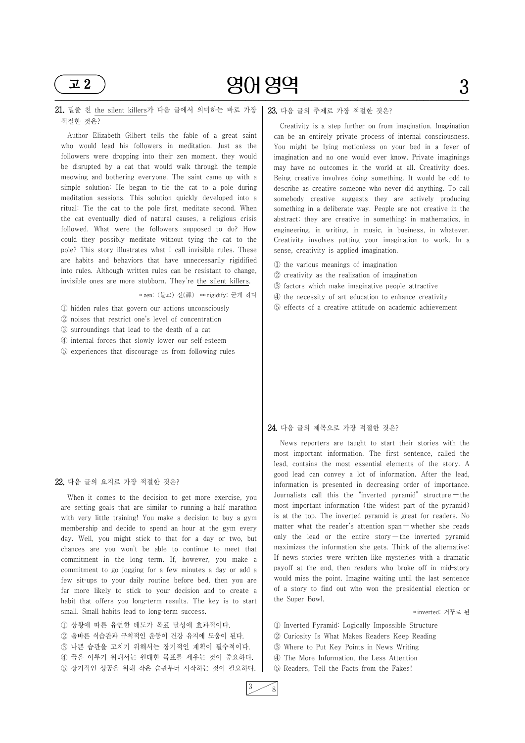━━━━━━━━━━━━━━━━━━━━━━━━━━━━━━━━━━━━━━━━━━━━━━━━━━━━━━━━━━━━━━━



#### 21. 밑줄 친 the silent killers가 다음 글에서 의미하는 바로 가장 적절한 것은?

Author Elizabeth Gilbert tells the fable of a great saint who would lead his followers in meditation. Just as the followers were dropping into their zen moment, they would be disrupted by a cat that would walk through the temple meowing and bothering everyone. The saint came up with a simple solution: He began to tie the cat to a pole during meditation sessions. This solution quickly developed into a ritual: Tie the cat to the pole first, meditate second. When the cat eventually died of natural causes, a religious crisis followed. What were the followers supposed to do? How could they possibly meditate without tying the cat to the pole? This story illustrates what I call invisible rules. These are habits and behaviors that have unnecessarily rigidified into rules. Although written rules can be resistant to change, invisible ones are more stubborn. They're the silent killers.

When it comes to the decision to get more exercise, you are setting goals that are similar to running a half marathon with very little training! You make a decision to buy a gym membership and decide to spend an hour at the gym every day. Well, you might stick to that for a day or two, but chances are you won't be able to continue to meet that commitment in the long term. If, however, you make commitment to go jogging for a few minutes a day or add a few sit-ups to your daily routine before bed, then you are far more likely to stick to your decision and to create a habit that offers you long-term results. The key is to start small. Small habits lead to long-term success.

\* zen: (불교) 선(禪) \*\* rigidify: 굳게 하다

① hidden rules that govern our actions unconsciously

② noises that restrict one's level of concentration

- ③ surroundings that lead to the death of a cat
- ④ internal forces that slowly lower our self‑esteem
- ⑤ experiences that discourage us from following rules

#### 22. 다음 글의 요지로 가장 적절한 것은?

payoff at the end, then readers who broke off in mid-story would miss the point. Imagine waiting until the last sentence of a story to find out who won the presidential election or the Super Bowl.

① 상황에 따른 유연한 태도가 목표 달성에 효과적이다. ② 올바른 식습관과 규칙적인 운동이 건강 유지에 도움이 된다. ③ 나쁜 습관을 고치기 위해서는 장기적인 계획이 필수적이다. ④ 꿈을 이루기 위해서는 원대한 목표를 세우는 것이 중요하다. ⑤ 장기적인 성공을 위해 작은 습관부터 시작하는 것이 필요하다.

#### 23. 다음 글의 주제로 가장 적절한 것은?

Creativity is a step further on from imagination. Imagination can be an entirely private process of internal consciousness. You might be lying motionless on your bed in a fever of imagination and no one would ever know. Private imaginings may have no outcomes in the world at all. Creativity does. Being creative involves doing something. It would be odd to describe as creative someone who never did anything. To call somebody creative suggests they are actively producing something in a deliberate way. People are not creative in the abstract; they are creative in something: in mathematics, in engineering, in writing, in music, in business, in whatever. Creativity involves putting your imagination to work. In a sense, creativity is applied imagination.

- ① the various meanings of imagination
- ② creativity as the realization of imagination
- ③ factors which make imaginative people attractive
- ④ the necessity of art education to enhance creativity
- ⑤ effects of a creative attitude on academic achievement

#### 24. 다음 글의 제목으로 가장 적절한 것은?

News reporters are taught to start their stories with the most important information. The first sentence, called the lead, contains the most essential elements of the story. A good lead can convey a lot of information. After the lead, information is presented in decreasing order of importance. Journalists call this the "inverted pyramid" structure — the most important information (the widest part of the pyramid) is at the top. The inverted pyramid is great for readers. No matter what the reader's attention span — whether she reads only the lead or the entire story — the inverted pyramid maximizes the information she gets. Think of the alternative: If news stories were written like mysteries with a dramatic

\* inverted: 거꾸로 된

① Inverted Pyramid: Logically Impossible Structure ② Curiosity Is What Makes Readers Keep Reading ③ Where to Put Key Points in News Writing ④ The More Information, the Less Attention ⑤ Readers, Tell the Facts from the Fakes!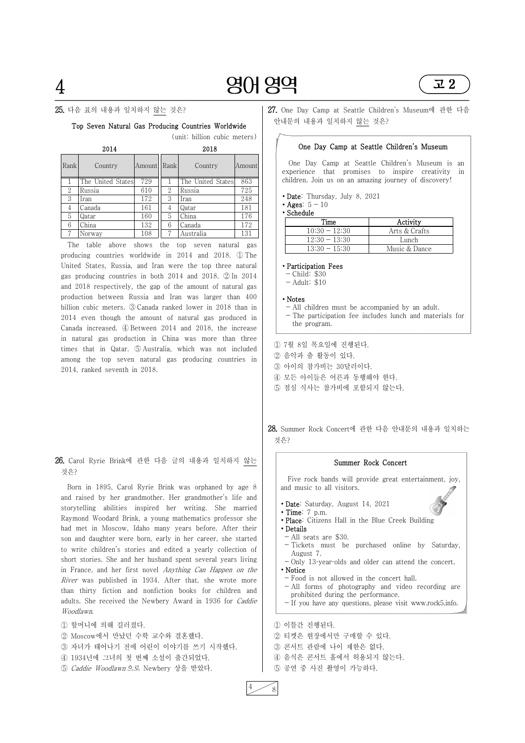## 4 영어 영역 ━━━━━━━━━━━━━━━━━━━━━━━━━━━━━━━━━━━━━━━━━━━━━━━━━━━━━━━━━━━━━━━



#### 25. 다음 표의 내용과 일치하지 않는 것은?

#### Top Seven Natural Gas Producing Countries Worldwide

(unit: billion cubic meters)

| 2014              |                   |        |      | 2018              |        |  |  |
|-------------------|-------------------|--------|------|-------------------|--------|--|--|
| Rank <sup> </sup> | Country           | Amount | Rank | Country           | Amount |  |  |
|                   | The United States | 729    |      | The United States | 863    |  |  |
| 2                 | Russia            | 610    | 2    | Russia            | 725    |  |  |
| 3                 | Iran              | 172    | 3    | Iran              | 248    |  |  |
| 4                 | Canada            | 161    | 4    | Qatar             | 181    |  |  |
| 5                 | Qatar             | 160    | 5    | China             | 176    |  |  |
| 6                 | China             | 132    | 6    | Canada            | 172    |  |  |
| 7                 | Norway            | 108    | 7    | Australia         | 131    |  |  |

The table above shows the top seven natural gas producing countries worldwide in 2014 and 2018. ① The United States, Russia, and Iran were the top three natural gas producing countries in both 2014 and 2018. ② In 2014 and 2018 respectively, the gap of the amount of natural gas production between Russia and Iran was larger than 400 billion cubic meters. ③ Canada ranked lower in 2018 than in 2014 even though the amount of natural gas produced in Canada increased. ④ Between 2014 and 2018, the increase in natural gas production in China was more than three times that in Qatar. ⑤ Australia, which was not included among the top seven natural gas producing countries in 2014, ranked seventh in 2018.

#### 26. Carol Ryrie Brink에 관한 다음 글의 내용과 일치하지 않는 것은?

- ∙ Participation Fees
- $-$  Child: \$30
- $-$  Adult:  $$10$

Born in 1895, Carol Ryrie Brink was orphaned by age 8 and raised by her grandmother. Her grandmother's life and storytelling abilities inspired her writing. She married Raymond Woodard Brink, a young mathematics professor she had met in Moscow, Idaho many years before. After their son and daughter were born, early in her career, she started to write children's stories and edited a yearly collection of short stories. She and her husband spent several years living in France, and her first novel Anything Can Happen on the River was published in 1934. After that, she wrote more than thirty fiction and nonfiction books for children and adults. She received the Newbery Award in 1936 for Caddie Woodlawn.

Only 13-year-olds and older can attend the concert. ∙ Notice

① 할머니에 의해 길러졌다. ② Moscow에서 만났던 수학 교수와 결혼했다. ③ 자녀가 태어나기 전에 어린이 이야기를 쓰기 시작했다. ④ 1934년에 그녀의 첫 번째 소설이 출간되었다. ⑤ Caddie Woodlawn 으로 Newbery 상을 받았다.

27. One Day Camp at Seattle Children's Museum에 관한 다음 안내문의 내용과 일치하지 않는 것은?

#### One Day Camp at Seattle Children's Museum

 One Day Camp at Seattle Children's Museum is an experience that promises to inspire creativity in children. Join us on an amazing journey of discovery!

- ∙ Date: Thursday, July 8, 2021
- Ages:  $5 10$
- ∙ Schedule

| Time            | Activity      |
|-----------------|---------------|
| $10:30 - 12:30$ | Arts & Crafts |
| $12:30 - 13:30$ | Lunch         |
| $13:30 - 15:30$ | Music & Dance |

#### ∙ Notes

- All children must be accompanied by an adult.
- The participation fee includes lunch and materials for the program.
- ① 7월 8일 목요일에 진행된다.
- ② 음악과 춤 활동이 있다.
- ③ 아이의 참가비는 30달러이다.
- ④ 모든 아이들은 어른과 동행해야 한다.
- ⑤ 점심 식사는 참가비에 포함되지 않는다.

28. Summer Rock Concert에 관한 다음 안내문의 내용과 일치하는 것은?

#### Summer Rock Concert

 Five rock bands will provide great entertainment, joy, and music to all visitors. ∙ Date: Saturday, August 14, 2021

- 
- ∙ Time: 7 p.m.
- ∙ Place: Citizens Hall in the Blue Creek Building
- ∙ Details - All seats are \$30.
- Tickets must be purchased online by Saturday, August 7.
- 

- Food is not allowed in the concert hall.
- All forms of photography and video recording are prohibited during the performance.

- If you have any questions, please visit www.rock5.info.

① 이틀간 진행된다. ② 티켓은 현장에서만 구매할 수 있다. ③ 콘서트 관람에 나이 제한은 없다. ④ 음식은 콘서트 홀에서 허용되지 않는다. ⑤ 공연 중 사진 촬영이 가능하다.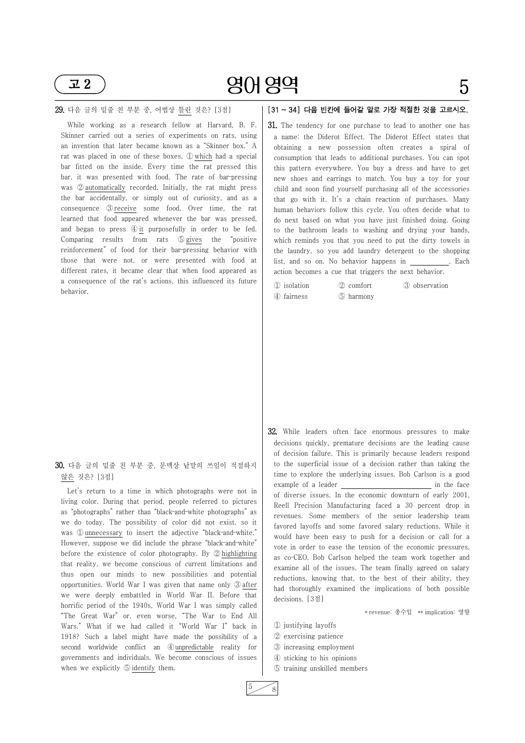# 영어 영역 5



#### 29. 다음 글의 밑줄 친 부분 중, 어법상 틀린 것은? [3점]

Let's return to a time in which photographs were not in living color. During that period, people referred to pictures as "photographs" rather than "black‑and‑white photographs" as we do today. The possibility of color did not exist, so it was ① unnecessary to insert the adjective "black-and-white." However, suppose we did include the phrase "black-and-white" before the existence of color photography. By ② highlighting that reality, we become conscious of current limitations and thus open our minds to new possibilities and potential opportunities. World War I was given that name only ③ after we were deeply embattled in World War II. Before that horrific period of the 1940s, World War I was simply called "The Great War" or, even worse, "The War to End All Wars." What if we had called it "World War I" back in 1918? Such a label might have made the possibility of a second worldwide conflict an  $\Phi$ unpredictable reality for governments and individuals. We become conscious of issues when we explicitly **b** identify them.

While working as a research fellow at Harvard, B. F. Skinner carried out a series of experiments on rats, using an invention that later became known as a "Skinner box." A rat was placed in one of these boxes, ① which had a special bar fitted on the inside. Every time the rat pressed this bar, it was presented with food. The rate of bar-pressing was ② automatically recorded. Initially, the rat might press the bar accidentally, or simply out of curiosity, and as a consequence ③ receive some food. Over time, the rat learned that food appeared whenever the bar was pressed, and began to press  $\circled{4}$  it purposefully in order to be fed. Comparing results from rats ⑤ gives the "positive reinforcement" of food for their bar-pressing behavior with those that were not, or were presented with food at different rates, it became clear that when food appeared as a consequence of the rat's actions, this influenced its future  $\Box$ behavior.

#### 30. 다음 글의 밑줄 친 부분 중, 문맥상 낱말의 쓰임이 적절하지 않은 것은? [3점]

### [31 ~ 34] 다음 빈칸에 들어갈 말로 가장 적절한 것을 고르시오.

31. The tendency for one purchase to lead to another one has a name: the Diderot Effect. The Diderot Effect states that obtaining a new possession often creates a spiral of consumption that leads to additional purchases. You can spot this pattern everywhere. You buy a dress and have to get new shoes and earrings to match. You buy a toy for your child and soon find yourself purchasing all of the accessories that go with it. It's a chain reaction of purchases. Many human behaviors follow this cycle. You often decide what to do next based on what you have just finished doing. Going to the bathroom leads to washing and drying your hands, which reminds you that you need to put the dirty towels in the laundry, so you add laundry detergent to the shopping list, and so on. No behavior happens in . Each action becomes a cue that triggers the next behavior.

| ① isolation | 2 comfort | 3 observation |
|-------------|-----------|---------------|
| 4 fairness  | 5 harmony |               |

32. While leaders often face enormous pressures to make decisions quickly, premature decisions are the leading cause of decision failure. This is primarily because leaders respond to the superficial issue of a decision rather than taking the time to explore the underlying issues. Bob Carlson is a good example of a leader in the face of diverse issues. In the economic downturn of early 2001, Reell Precision Manufacturing faced a 30 percent drop in revenues. Some members of the senior leadership team favored layoffs and some favored salary reductions. While it would have been easy to push for a decision or call for a vote in order to ease the tension of the economic pressures, as co-CEO, Bob Carlson helped the team work together and examine all of the issues. The team finally agreed on salary reductions, knowing that, to the best of their ability, they had thoroughly examined the implications of both possible decisions. [3점]

\* revenue: 총수입 \*\* implication: 영향

① justifying layoffs ② exercising patience ③ increasing employment ④ sticking to his opinions ⑤ training unskilled members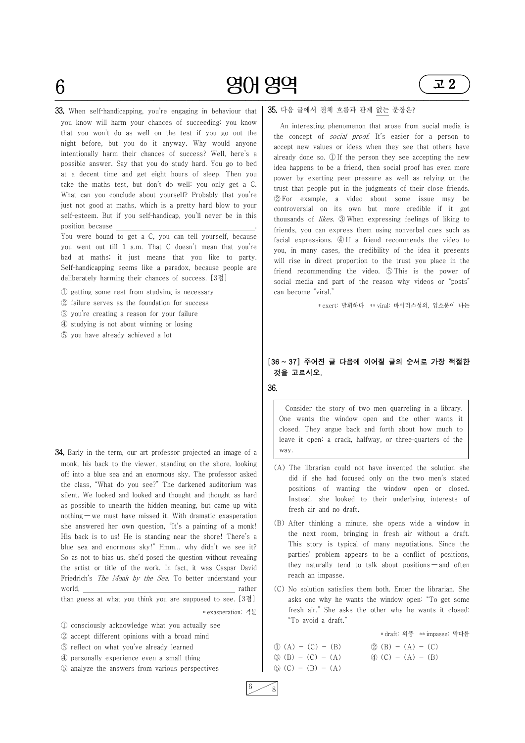33. When self-handicapping, you're engaging in behaviour that you know will harm your chances of succeeding: you know that you won't do as well on the test if you go out the night before, but you do it anyway. Why would anyone intentionally harm their chances of success? Well, here's a possible answer. Say that you do study hard. You go to bed at a decent time and get eight hours of sleep. Then you take the maths test, but don't do well: you only get a C. What can you conclude about yourself? Probably that you're just not good at maths, which is a pretty hard blow to your self-esteem. But if you self-handicap, you'll never be in this

━━━━━━━━━━━━━━━━━━━━━━━━━━━━━━━━━━━━━━━━━━━━━━━━━━━━━━━━━━━━━━━



position because . You were bound to get a C, you can tell yourself, because you went out till 1 a.m. That C doesn't mean that you're bad at maths; it just means that you like to party. Self-handicapping seems like a paradox, because people are deliberately harming their chances of success. [3점]

① getting some rest from studying is necessary

② failure serves as the foundation for success

③ you're creating a reason for your failure

④ studying is not about winning or losing

⑤ you have already achieved a lot

34. Early in the term, our art professor projected an image of a monk, his back to the viewer, standing on the shore, looking off into a blue sea and an enormous sky. The professor asked the class, "What do you see?" The darkened auditorium was silent. We looked and looked and thought and thought as hard as possible to unearth the hidden meaning, but came up with nothing — we must have missed it. With dramatic exasperation she answered her own question, "It's a painting of a monk! His back is to us! He is standing near the shore! There's a blue sea and enormous sky!" Hmm... why didn't we see it? So as not to bias us, she'd posed the question without revealing

the artist or title of the work. In fact, it was Caspar David Friedrich's *The Monk by the Sea*. To better understand your world, rather and rather and rather and rather rather than guess at what you think you are supposed to see. [3점] \* exasperation: 격분

they naturally tend to talk about positions  $-$  and often reach an impasse.

① consciously acknowledge what you actually see ② accept different opinions with a broad mind ③ reflect on what you've already learned ④ personally experience even a small thing ⑤ analyze the answers from various perspectives

35. 다음 글에서 전체 흐름과 관계 없는 문장은?

An interesting phenomenon that arose from social media is the concept of *social proof*. It's easier for a person to accept new values or ideas when they see that others have already done so. ① If the person they see accepting the new idea happens to be a friend, then social proof has even more power by exerting peer pressure as well as relying on the trust that people put in the judgments of their close friends. ② For example, a video about some issue may be controversial on its own but more credible if it got thousands of likes. ③ When expressing feelings of liking to friends, you can express them using nonverbal cues such as facial expressions. ④ If a friend recommends the video to you, in many cases, the credibility of the idea it presents will rise in direct proportion to the trust you place in the friend recommending the video. ⑤ This is the power of social media and part of the reason why videos or "posts" can become "viral."

\* exert: 발휘하다 \*\* viral: 바이러스성의, 입소문이 나는

# [36 <sup>~</sup> 37] 주어진 글 다음에 이어질 글의 순서로 가장 적절한 것을 고르시오.

36.

Consider the story of two men quarreling in a library. One wants the window open and the other wants it closed. They argue back and forth about how much to leave it open: a crack, halfway, or three-quarters of the way.

- (A) The librarian could not have invented the solution she did if she had focused only on the two men's stated positions of wanting the window open or closed. Instead, she looked to their underlying interests of fresh air and no draft.
- (B) After thinking a minute, she opens wide a window in the next room, bringing in fresh air without a draft. This story is typical of many negotiations. Since the parties' problem appears to be a conflict of positions,

(C) No solution satisfies them both. Enter the librarian. She asks one why he wants the window open: "To get some fresh air." She asks the other why he wants it closed: "To avoid a draft."

\* draft: 외풍 \*\* impasse: 막다름

 $\textcircled{1}$  (A) - (C) - (B)  $\textcircled{2}$  (B) - (A) - (C)  $\textcircled{3}$  (B) - (C) - (A)  $\textcircled{4}$  (C) - (A) - (B)  $\circledS$  (C) - (B) - (A)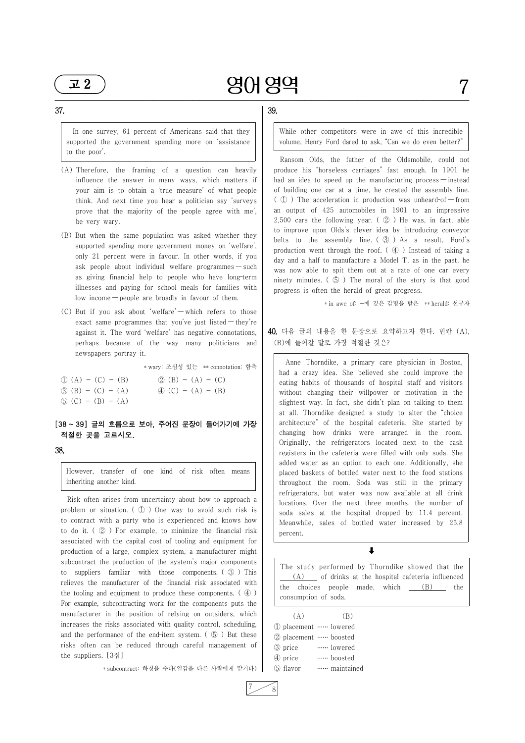### 영어 영역 7 ━━━━━━━━━━━━━━━━━━━━━━━━━━━━━━━━━━━━━━━━━━━━━━━━━━━━━━━━━━━━━━━



#### 37.

In one survey, 61 percent of Americans said that they supported the government spending more on 'assistance to the poor'.

- (A) Therefore, the framing of a question can heavily influence the answer in many ways, which matters if your aim is to obtain a 'true measure' of what people think. And next time you hear a politician say 'surveys prove that the majority of the people agree with me', be very wary.
- (B) But when the same population was asked whether they supported spending more government money on 'welfare', only 21 percent were in favour. In other words, if you ask people about individual welfare programmes — such as giving financial help to people who have long-term illnesses and paying for school meals for families with low income — people are broadly in favour of them.
- (C) But if you ask about 'welfare' which refers to those exact same programmes that you've just listed — they're against it. The word 'welfare' has negative connotations, perhaps because of the way many politicians and newspapers portray it.

\* wary: 조심성 있는 \*\* connotation: 함축

| $\textcircled{1}$ (A) – (C) – (B) | $\mathcal{Q}(B) - (A) - (C)$      |
|-----------------------------------|-----------------------------------|
| $\textcircled{3}$ (B) – (C) – (A) | $\textcircled{4}$ (C) – (A) – (B) |
| $\circled{5}$ (C) – (B) – (A)     |                                   |

# [38 <sup>~</sup> 39] 글의 흐름으로 보아, 주어진 문장이 들어가기에 가장 적절한 곳을 고르시오.

#### 38.

However, transfer of one kind of risk often means inheriting another kind.

Risk often arises from uncertainty about how to approach a problem or situation. ( ① ) One way to avoid such risk is to contract with a party who is experienced and knows how to do it. ( ② ) For example, to minimize the financial risk associated with the capital cost of tooling and equipment for production of a large, complex system, a manufacturer might subcontract the production of the system's major components to suppliers familiar with those components. ( ③ ) This relieves the manufacturer of the financial risk associated with the tooling and equipment to produce these components. ( ④ ) For example, subcontracting work for the components puts the manufacturer in the position of relying on outsiders, which increases the risks associated with quality control, scheduling, and the performance of the end–item system.  $(\circled{5})$  But these risks often can be reduced through careful management of  $\Box$  g price the suppliers. [3점]

\* subcontract: 하청을 주다(일감을 다른 사람에게 맡기다)

### 39.

While other competitors were in awe of this incredible volume, Henry Ford dared to ask, "Can we do even better?"

Ransom Olds, the father of the Oldsmobile, could not produce his "horseless carriages" fast enough. In 1901 he had an idea to speed up the manufacturing process — instead of building one car at a time, he created the assembly line. ( $\mathbb O$ ) The acceleration in production was unheard-of — from an output of 425 automobiles in 1901 to an impressive 2,500 cars the following year.  $(2)$  He was, in fact, able to improve upon Olds's clever idea by introducing conveyor belts to the assembly line. ( ③ ) As a result, Ford's production went through the roof.  $(\mathcal{A})$  Instead of taking a day and a half to manufacture a Model T, as in the past, he was now able to spit them out at a rate of one car every ninety minutes. ( ⑤ ) The moral of the story is that good progress is often the herald of great progress.

\* in awe of: ~에 깊은 감명을 받은 \*\* herald: 선구자

### 40. 다음 글의 내용을 한 문장으로 요약하고자 한다. 빈칸 (A), (B)에 들어갈 말로 가장 적절한 것은?

Anne Thorndike, a primary care physician in Boston, had a crazy idea. She believed she could improve the eating habits of thousands of hospital staff and visitors without changing their willpower or motivation in the slightest way. In fact, she didn't plan on talking to them at all. Thorndike designed a study to alter the "choice architecture" of the hospital cafeteria. She started by changing how drinks were arranged in the room. Originally, the refrigerators located next to the cash registers in the cafeteria were filled with only soda. She added water as an option to each one. Additionally, she placed baskets of bottled water next to the food stations throughout the room. Soda was still in the primary refrigerators, but water was now available at all drink locations. Over the next three months, the number of soda sales at the hospital dropped by 11.4 percent. Meanwhile, sales of bottled water increased by 25.8 percent.

The study performed by Thorndike showed that the  $(A)$  of drinks at the hospital cafeteria influenced the choices people made, which  $(B)$  the consumption of soda.

 $\ddagger$ 

 $(A)$  (B) ① placement…… lowered ② placement…… boosted …… lowered ④ price …… boosted …… maintained